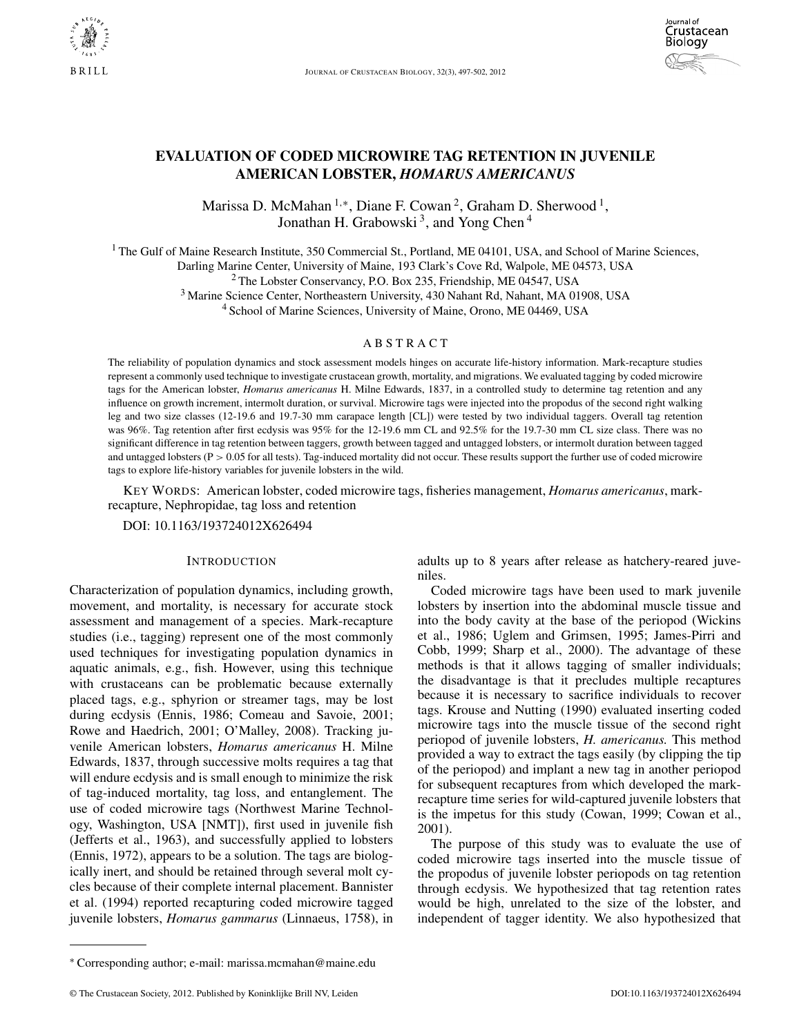



# **EVALUATION OF CODED MICROWIRE TAG RETENTION IN JUVENILE AMERICAN LOBSTER,** *HOMARUS AMERICANUS*

Marissa D. McMahan <sup>1,∗</sup>, Diane F. Cowan<sup>2</sup>, Graham D. Sherwood<sup>1</sup>, Jonathan H. Grabowski<sup>3</sup>, and Yong Chen<sup>4</sup>

 $1$  The Gulf of Maine Research Institute, 350 Commercial St., Portland, ME 04101, USA, and School of Marine Sciences, Darling Marine Center, University of Maine, 193 Clark's Cove Rd, Walpole, ME 04573, USA

<sup>2</sup> The Lobster Conservancy, P.O. Box 235, Friendship, ME 04547, USA

<sup>3</sup> Marine Science Center, Northeastern University, 430 Nahant Rd, Nahant, MA 01908, USA

<sup>4</sup> School of Marine Sciences, University of Maine, Orono, ME 04469, USA

# ABSTRACT

The reliability of population dynamics and stock assessment models hinges on accurate life-history information. Mark-recapture studies represent a commonly used technique to investigate crustacean growth, mortality, and migrations. We evaluated tagging by coded microwire tags for the American lobster, *Homarus americanus* H. Milne Edwards, 1837, in a controlled study to determine tag retention and any influence on growth increment, intermolt duration, or survival. Microwire tags were injected into the propodus of the second right walking leg and two size classes (12-19.6 and 19.7-30 mm carapace length [CL]) were tested by two individual taggers. Overall tag retention was 96%. Tag retention after first ecdysis was 95% for the 12-19.6 mm CL and 92.5% for the 19.7-30 mm CL size class. There was no significant difference in tag retention between taggers, growth between tagged and untagged lobsters, or intermolt duration between tagged and untagged lobsters (P > 0.05 for all tests). Tag-induced mortality did not occur. These results support the further use of coded microwire tags to explore life-history variables for juvenile lobsters in the wild.

KEY WORDS: American lobster, coded microwire tags, fisheries management, *Homarus americanus*, markrecapture, Nephropidae, tag loss and retention

DOI: 10.1163/193724012X626494

# INTRODUCTION

Characterization of population dynamics, including growth, movement, and mortality, is necessary for accurate stock assessment and management of a species. Mark-recapture studies (i.e., tagging) represent one of the most commonly used techniques for investigating population dynamics in aquatic animals, e.g., fish. However, using this technique with crustaceans can be problematic because externally placed tags, e.g., sphyrion or streamer tags, may be lost during ecdysis (Ennis, 1986; Comeau and Savoie, 2001; Rowe and Haedrich, 2001; O'Malley, 2008). Tracking juvenile American lobsters, *Homarus americanus* H. Milne Edwards, 1837, through successive molts requires a tag that will endure ecdysis and is small enough to minimize the risk of tag-induced mortality, tag loss, and entanglement. The use of coded microwire tags (Northwest Marine Technology, Washington, USA [NMT]), first used in juvenile fish (Jefferts et al., 1963), and successfully applied to lobsters (Ennis, 1972), appears to be a solution. The tags are biologically inert, and should be retained through several molt cycles because of their complete internal placement. Bannister et al. (1994) reported recapturing coded microwire tagged juvenile lobsters, *Homarus gammarus* (Linnaeus, 1758), in

<sup>∗</sup> Corresponding author; e-mail: marissa.mcmahan@maine.edu

adults up to 8 years after release as hatchery-reared juveniles.

Coded microwire tags have been used to mark juvenile lobsters by insertion into the abdominal muscle tissue and into the body cavity at the base of the periopod (Wickins et al., 1986; Uglem and Grimsen, 1995; James-Pirri and Cobb, 1999; Sharp et al., 2000). The advantage of these methods is that it allows tagging of smaller individuals; the disadvantage is that it precludes multiple recaptures because it is necessary to sacrifice individuals to recover tags. Krouse and Nutting (1990) evaluated inserting coded microwire tags into the muscle tissue of the second right periopod of juvenile lobsters, *H. americanus.* This method provided a way to extract the tags easily (by clipping the tip of the periopod) and implant a new tag in another periopod for subsequent recaptures from which developed the markrecapture time series for wild-captured juvenile lobsters that is the impetus for this study (Cowan, 1999; Cowan et al., 2001).

The purpose of this study was to evaluate the use of coded microwire tags inserted into the muscle tissue of the propodus of juvenile lobster periopods on tag retention through ecdysis. We hypothesized that tag retention rates would be high, unrelated to the size of the lobster, and independent of tagger identity. We also hypothesized that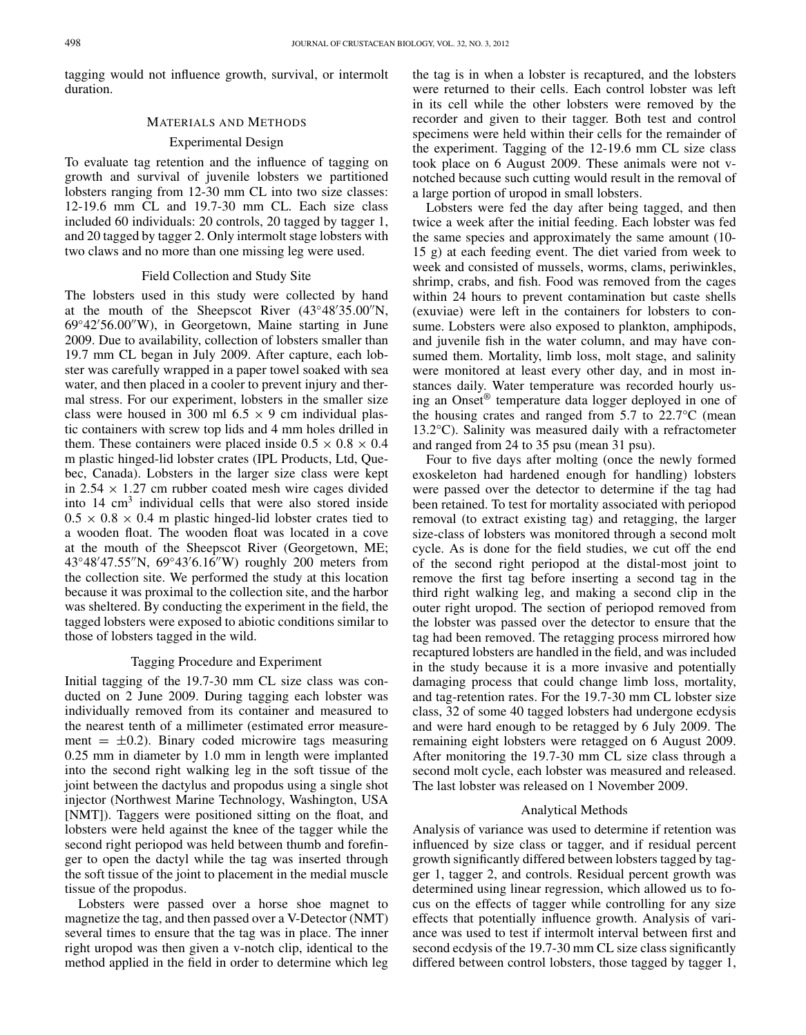tagging would not influence growth, survival, or intermolt duration.

## MATERIALS AND METHODS

## Experimental Design

To evaluate tag retention and the influence of tagging on growth and survival of juvenile lobsters we partitioned lobsters ranging from 12-30 mm CL into two size classes: 12-19.6 mm CL and 19.7-30 mm CL. Each size class included 60 individuals: 20 controls, 20 tagged by tagger 1, and 20 tagged by tagger 2. Only intermolt stage lobsters with two claws and no more than one missing leg were used.

#### Field Collection and Study Site

The lobsters used in this study were collected by hand at the mouth of the Sheepscot River  $(43°48'35.00''N,$ 69°42'56.00"W), in Georgetown, Maine starting in June 2009. Due to availability, collection of lobsters smaller than 19.7 mm CL began in July 2009. After capture, each lobster was carefully wrapped in a paper towel soaked with sea water, and then placed in a cooler to prevent injury and thermal stress. For our experiment, lobsters in the smaller size class were housed in 300 ml  $6.5 \times 9$  cm individual plastic containers with screw top lids and 4 mm holes drilled in them. These containers were placed inside  $0.5 \times 0.8 \times 0.4$ m plastic hinged-lid lobster crates (IPL Products, Ltd, Quebec, Canada). Lobsters in the larger size class were kept in  $2.54 \times 1.27$  cm rubber coated mesh wire cages divided into 14 cm3 individual cells that were also stored inside  $0.5 \times 0.8 \times 0.4$  m plastic hinged-lid lobster crates tied to a wooden float. The wooden float was located in a cove at the mouth of the Sheepscot River (Georgetown, ME; 43°48'47.55"N, 69°43'6.16"W) roughly 200 meters from the collection site. We performed the study at this location because it was proximal to the collection site, and the harbor was sheltered. By conducting the experiment in the field, the tagged lobsters were exposed to abiotic conditions similar to those of lobsters tagged in the wild.

#### Tagging Procedure and Experiment

Initial tagging of the 19.7-30 mm CL size class was conducted on 2 June 2009. During tagging each lobster was individually removed from its container and measured to the nearest tenth of a millimeter (estimated error measurement  $= \pm 0.2$ ). Binary coded microwire tags measuring 0.25 mm in diameter by 1.0 mm in length were implanted into the second right walking leg in the soft tissue of the joint between the dactylus and propodus using a single shot injector (Northwest Marine Technology, Washington, USA [NMT]). Taggers were positioned sitting on the float, and lobsters were held against the knee of the tagger while the second right periopod was held between thumb and forefinger to open the dactyl while the tag was inserted through the soft tissue of the joint to placement in the medial muscle tissue of the propodus.

Lobsters were passed over a horse shoe magnet to magnetize the tag, and then passed over a V-Detector (NMT) several times to ensure that the tag was in place. The inner right uropod was then given a v-notch clip, identical to the method applied in the field in order to determine which leg the tag is in when a lobster is recaptured, and the lobsters were returned to their cells. Each control lobster was left in its cell while the other lobsters were removed by the recorder and given to their tagger. Both test and control specimens were held within their cells for the remainder of the experiment. Tagging of the 12-19.6 mm CL size class took place on 6 August 2009. These animals were not vnotched because such cutting would result in the removal of a large portion of uropod in small lobsters.

Lobsters were fed the day after being tagged, and then twice a week after the initial feeding. Each lobster was fed the same species and approximately the same amount (10- 15 g) at each feeding event. The diet varied from week to week and consisted of mussels, worms, clams, periwinkles, shrimp, crabs, and fish. Food was removed from the cages within 24 hours to prevent contamination but caste shells (exuviae) were left in the containers for lobsters to consume. Lobsters were also exposed to plankton, amphipods, and juvenile fish in the water column, and may have consumed them. Mortality, limb loss, molt stage, and salinity were monitored at least every other day, and in most instances daily. Water temperature was recorded hourly using an Onset® temperature data logger deployed in one of the housing crates and ranged from 5.7 to 22.7°C (mean 13.2°C). Salinity was measured daily with a refractometer and ranged from 24 to 35 psu (mean 31 psu).

Four to five days after molting (once the newly formed exoskeleton had hardened enough for handling) lobsters were passed over the detector to determine if the tag had been retained. To test for mortality associated with periopod removal (to extract existing tag) and retagging, the larger size-class of lobsters was monitored through a second molt cycle. As is done for the field studies, we cut off the end of the second right periopod at the distal-most joint to remove the first tag before inserting a second tag in the third right walking leg, and making a second clip in the outer right uropod. The section of periopod removed from the lobster was passed over the detector to ensure that the tag had been removed. The retagging process mirrored how recaptured lobsters are handled in the field, and was included in the study because it is a more invasive and potentially damaging process that could change limb loss, mortality, and tag-retention rates. For the 19.7-30 mm CL lobster size class, 32 of some 40 tagged lobsters had undergone ecdysis and were hard enough to be retagged by 6 July 2009. The remaining eight lobsters were retagged on 6 August 2009. After monitoring the 19.7-30 mm CL size class through a second molt cycle, each lobster was measured and released. The last lobster was released on 1 November 2009.

#### Analytical Methods

Analysis of variance was used to determine if retention was influenced by size class or tagger, and if residual percent growth significantly differed between lobsters tagged by tagger 1, tagger 2, and controls. Residual percent growth was determined using linear regression, which allowed us to focus on the effects of tagger while controlling for any size effects that potentially influence growth. Analysis of variance was used to test if intermolt interval between first and second ecdysis of the 19.7-30 mm CL size class significantly differed between control lobsters, those tagged by tagger 1,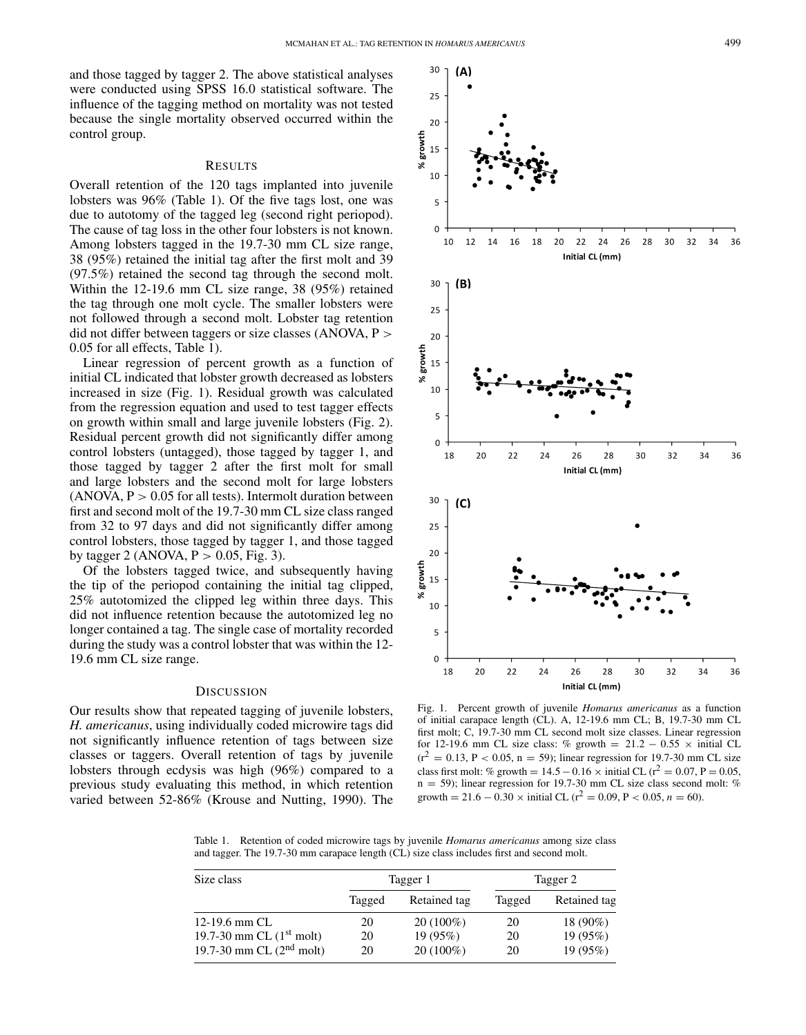and those tagged by tagger 2. The above statistical analyses were conducted using SPSS 16.0 statistical software. The influence of the tagging method on mortality was not tested because the single mortality observed occurred within the control group.

#### RESULTS

Overall retention of the 120 tags implanted into juvenile lobsters was 96% (Table 1). Of the five tags lost, one was due to autotomy of the tagged leg (second right periopod). The cause of tag loss in the other four lobsters is not known. Among lobsters tagged in the 19.7-30 mm CL size range, 38 (95%) retained the initial tag after the first molt and 39 (97.5%) retained the second tag through the second molt. Within the 12-19.6 mm CL size range, 38 (95%) retained the tag through one molt cycle. The smaller lobsters were not followed through a second molt. Lobster tag retention did not differ between taggers or size classes (ANOVA, P *>* 0.05 for all effects, Table 1).

Linear regression of percent growth as a function of initial CL indicated that lobster growth decreased as lobsters increased in size (Fig. 1). Residual growth was calculated from the regression equation and used to test tagger effects on growth within small and large juvenile lobsters (Fig. 2). Residual percent growth did not significantly differ among control lobsters (untagged), those tagged by tagger 1, and those tagged by tagger 2 after the first molt for small and large lobsters and the second molt for large lobsters  $(ANOVA, P > 0.05$  for all tests). Intermolt duration between first and second molt of the 19.7-30 mm CL size class ranged from 32 to 97 days and did not significantly differ among control lobsters, those tagged by tagger 1, and those tagged by tagger 2 (ANOVA, P *>* 0.05, Fig. 3).

Of the lobsters tagged twice, and subsequently having the tip of the periopod containing the initial tag clipped, 25% autotomized the clipped leg within three days. This did not influence retention because the autotomized leg no longer contained a tag. The single case of mortality recorded during the study was a control lobster that was within the 12- 19.6 mm CL size range.

#### **DISCUSSION**

Our results show that repeated tagging of juvenile lobsters, *H. americanus*, using individually coded microwire tags did not significantly influence retention of tags between size classes or taggers. Overall retention of tags by juvenile lobsters through ecdysis was high (96%) compared to a previous study evaluating this method, in which retention varied between 52-86% (Krouse and Nutting, 1990). The



Fig. 1. Percent growth of juvenile *Homarus americanus* as a function of initial carapace length (CL). A, 12-19.6 mm CL; B, 19.7-30 mm CL first molt; C, 19.7-30 mm CL second molt size classes. Linear regression for 12-19.6 mm CL size class: % growth =  $21.2 - 0.55 \times$  initial CL  $(r^2 = 0.13, P < 0.05, n = 59)$ ; linear regression for 19.7-30 mm CL size class first molt: % growth =  $14.5 - 0.16 \times$  initial CL ( $r^2 = 0.07$ , P = 0.05,  $n = 59$ ; linear regression for 19.7-30 mm CL size class second molt: % growth = 21.6 – 0.30  $\times$  initial CL ( $r^2 = 0.09$ ,  $P < 0.05$ ,  $n = 60$ ).

Table 1. Retention of coded microwire tags by juvenile *Homarus americanus* among size class and tagger. The 19.7-30 mm carapace length (CL) size class includes first and second molt.

| Size class                    | Tagger 1 |              | Tagger 2 |              |
|-------------------------------|----------|--------------|----------|--------------|
|                               | Tagged   | Retained tag | Tagged   | Retained tag |
| 12-19.6 mm CL                 | 20       | $20(100\%)$  | 20       | $18(90\%)$   |
| 19.7-30 mm CL $(1st$ molt)    | 20       | 19(95%)      | 20       | 19 (95%)     |
| 19.7-30 mm CL $(2^{nd}$ molt) | 20       | $20(100\%)$  | 20       | 19 (95%)     |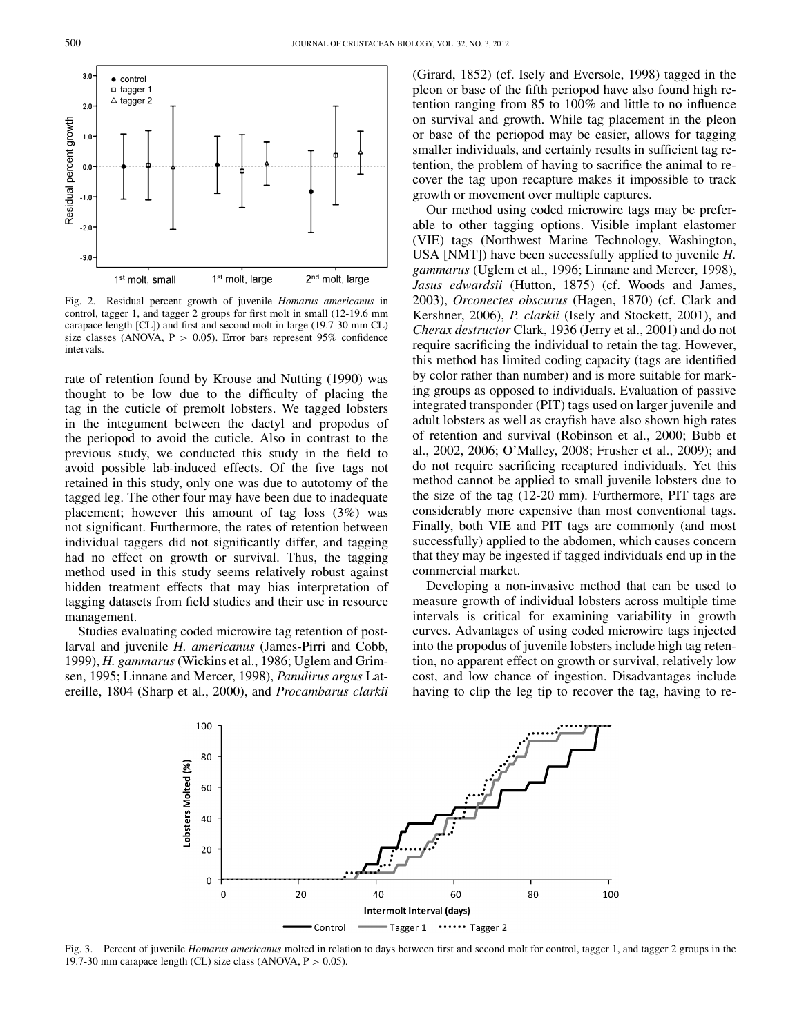

Fig. 2. Residual percent growth of juvenile *Homarus americanus* in control, tagger 1, and tagger 2 groups for first molt in small (12-19.6 mm carapace length [CL]) and first and second molt in large (19.7-30 mm CL) size classes (ANOVA, P *>* 0.05). Error bars represent 95% confidence intervals.

rate of retention found by Krouse and Nutting (1990) was thought to be low due to the difficulty of placing the tag in the cuticle of premolt lobsters. We tagged lobsters in the integument between the dactyl and propodus of the periopod to avoid the cuticle. Also in contrast to the previous study, we conducted this study in the field to avoid possible lab-induced effects. Of the five tags not retained in this study, only one was due to autotomy of the tagged leg. The other four may have been due to inadequate placement; however this amount of tag loss (3%) was not significant. Furthermore, the rates of retention between individual taggers did not significantly differ, and tagging had no effect on growth or survival. Thus, the tagging method used in this study seems relatively robust against hidden treatment effects that may bias interpretation of tagging datasets from field studies and their use in resource management.

Studies evaluating coded microwire tag retention of postlarval and juvenile *H. americanus* (James-Pirri and Cobb, 1999), *H. gammarus*(Wickins et al., 1986; Uglem and Grimsen, 1995; Linnane and Mercer, 1998), *Panulirus argus* Latereille, 1804 (Sharp et al., 2000), and *Procambarus clarkii*

(Girard, 1852) (cf. Isely and Eversole, 1998) tagged in the pleon or base of the fifth periopod have also found high retention ranging from 85 to 100% and little to no influence on survival and growth. While tag placement in the pleon or base of the periopod may be easier, allows for tagging smaller individuals, and certainly results in sufficient tag retention, the problem of having to sacrifice the animal to recover the tag upon recapture makes it impossible to track growth or movement over multiple captures.

Our method using coded microwire tags may be preferable to other tagging options. Visible implant elastomer (VIE) tags (Northwest Marine Technology, Washington, USA [NMT]) have been successfully applied to juvenile *H. gammarus* (Uglem et al., 1996; Linnane and Mercer, 1998), *Jasus edwardsii* (Hutton, 1875) (cf. Woods and James, 2003), *Orconectes obscurus* (Hagen, 1870) (cf. Clark and Kershner, 2006), *P. clarkii* (Isely and Stockett, 2001), and *Cherax destructor* Clark, 1936 (Jerry et al., 2001) and do not require sacrificing the individual to retain the tag. However, this method has limited coding capacity (tags are identified by color rather than number) and is more suitable for marking groups as opposed to individuals. Evaluation of passive integrated transponder (PIT) tags used on larger juvenile and adult lobsters as well as crayfish have also shown high rates of retention and survival (Robinson et al., 2000; Bubb et al., 2002, 2006; O'Malley, 2008; Frusher et al., 2009); and do not require sacrificing recaptured individuals. Yet this method cannot be applied to small juvenile lobsters due to the size of the tag (12-20 mm). Furthermore, PIT tags are considerably more expensive than most conventional tags. Finally, both VIE and PIT tags are commonly (and most successfully) applied to the abdomen, which causes concern that they may be ingested if tagged individuals end up in the commercial market.

Developing a non-invasive method that can be used to measure growth of individual lobsters across multiple time intervals is critical for examining variability in growth curves. Advantages of using coded microwire tags injected into the propodus of juvenile lobsters include high tag retention, no apparent effect on growth or survival, relatively low cost, and low chance of ingestion. Disadvantages include having to clip the leg tip to recover the tag, having to re-



Fig. 3. Percent of juvenile *Homarus americanus* molted in relation to days between first and second molt for control, tagger 1, and tagger 2 groups in the 19.7-30 mm carapace length (CL) size class (ANOVA, P *>* 0.05).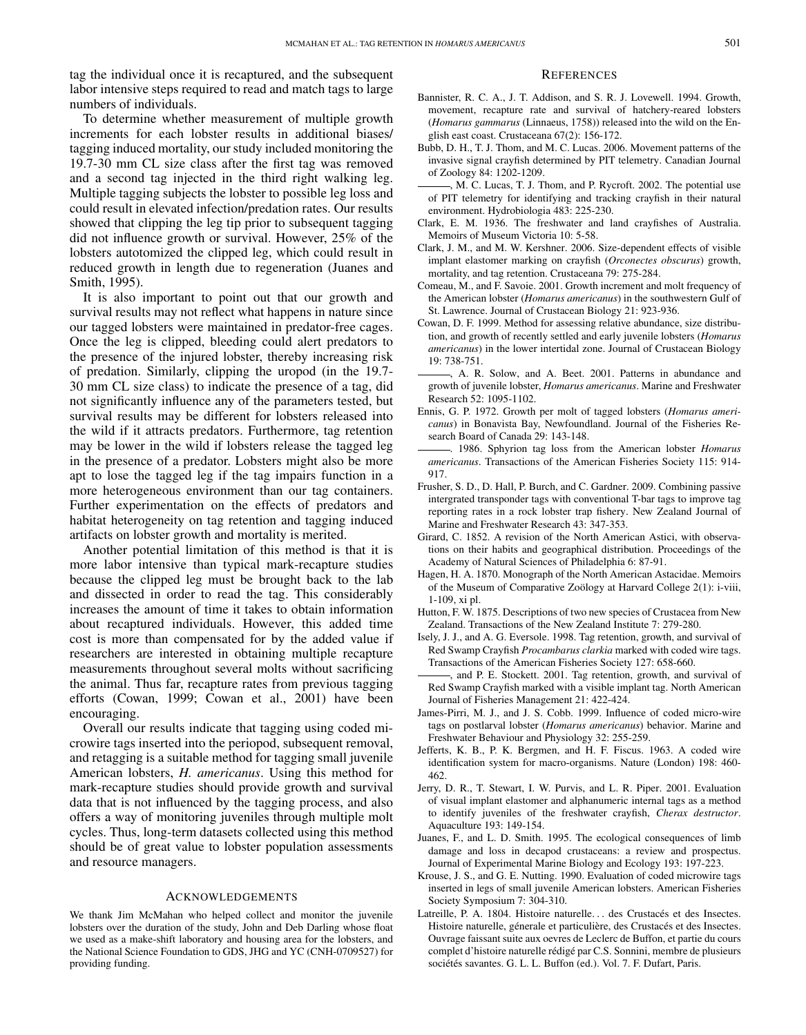tag the individual once it is recaptured, and the subsequent labor intensive steps required to read and match tags to large numbers of individuals.

To determine whether measurement of multiple growth increments for each lobster results in additional biases/ tagging induced mortality, our study included monitoring the 19.7-30 mm CL size class after the first tag was removed and a second tag injected in the third right walking leg. Multiple tagging subjects the lobster to possible leg loss and could result in elevated infection/predation rates. Our results showed that clipping the leg tip prior to subsequent tagging did not influence growth or survival. However, 25% of the lobsters autotomized the clipped leg, which could result in reduced growth in length due to regeneration (Juanes and Smith, 1995).

It is also important to point out that our growth and survival results may not reflect what happens in nature since our tagged lobsters were maintained in predator-free cages. Once the leg is clipped, bleeding could alert predators to the presence of the injured lobster, thereby increasing risk of predation. Similarly, clipping the uropod (in the 19.7- 30 mm CL size class) to indicate the presence of a tag, did not significantly influence any of the parameters tested, but survival results may be different for lobsters released into the wild if it attracts predators. Furthermore, tag retention may be lower in the wild if lobsters release the tagged leg in the presence of a predator. Lobsters might also be more apt to lose the tagged leg if the tag impairs function in a more heterogeneous environment than our tag containers. Further experimentation on the effects of predators and habitat heterogeneity on tag retention and tagging induced artifacts on lobster growth and mortality is merited.

Another potential limitation of this method is that it is more labor intensive than typical mark-recapture studies because the clipped leg must be brought back to the lab and dissected in order to read the tag. This considerably increases the amount of time it takes to obtain information about recaptured individuals. However, this added time cost is more than compensated for by the added value if researchers are interested in obtaining multiple recapture measurements throughout several molts without sacrificing the animal. Thus far, recapture rates from previous tagging efforts (Cowan, 1999; Cowan et al., 2001) have been encouraging.

Overall our results indicate that tagging using coded microwire tags inserted into the periopod, subsequent removal, and retagging is a suitable method for tagging small juvenile American lobsters, *H. americanus*. Using this method for mark-recapture studies should provide growth and survival data that is not influenced by the tagging process, and also offers a way of monitoring juveniles through multiple molt cycles. Thus, long-term datasets collected using this method should be of great value to lobster population assessments and resource managers.

#### ACKNOWLEDGEMENTS

We thank Jim McMahan who helped collect and monitor the juvenile lobsters over the duration of the study, John and Deb Darling whose float we used as a make-shift laboratory and housing area for the lobsters, and the National Science Foundation to GDS, JHG and YC (CNH-0709527) for providing funding.

#### **REFERENCES**

- Bannister, R. C. A., J. T. Addison, and S. R. J. Lovewell. 1994. Growth, movement, recapture rate and survival of hatchery-reared lobsters (*Homarus gammarus* (Linnaeus, 1758)) released into the wild on the English east coast. Crustaceana 67(2): 156-172.
- Bubb, D. H., T. J. Thom, and M. C. Lucas. 2006. Movement patterns of the invasive signal crayfish determined by PIT telemetry. Canadian Journal of Zoology 84: 1202-1209.
- , M. C. Lucas, T. J. Thom, and P. Rycroft. 2002. The potential use of PIT telemetry for identifying and tracking crayfish in their natural environment. Hydrobiologia 483: 225-230.
- Clark, E. M. 1936. The freshwater and land crayfishes of Australia. Memoirs of Museum Victoria 10: 5-58.
- Clark, J. M., and M. W. Kershner. 2006. Size-dependent effects of visible implant elastomer marking on crayfish (*Orconectes obscurus*) growth, mortality, and tag retention. Crustaceana 79: 275-284.
- Comeau, M., and F. Savoie. 2001. Growth increment and molt frequency of the American lobster (*Homarus americanus*) in the southwestern Gulf of St. Lawrence. Journal of Crustacean Biology 21: 923-936.
- Cowan, D. F. 1999. Method for assessing relative abundance, size distribution, and growth of recently settled and early juvenile lobsters (*Homarus americanus*) in the lower intertidal zone. Journal of Crustacean Biology 19: 738-751.
- , A. R. Solow, and A. Beet. 2001. Patterns in abundance and growth of juvenile lobster, *Homarus americanus*. Marine and Freshwater Research 52: 1095-1102.
- Ennis, G. P. 1972. Growth per molt of tagged lobsters (*Homarus americanus*) in Bonavista Bay, Newfoundland. Journal of the Fisheries Research Board of Canada 29: 143-148.
- . 1986. Sphyrion tag loss from the American lobster *Homarus americanus*. Transactions of the American Fisheries Society 115: 914- 917.
- Frusher, S. D., D. Hall, P. Burch, and C. Gardner. 2009. Combining passive intergrated transponder tags with conventional T-bar tags to improve tag reporting rates in a rock lobster trap fishery. New Zealand Journal of Marine and Freshwater Research 43: 347-353.
- Girard, C. 1852. A revision of the North American Astici, with observations on their habits and geographical distribution. Proceedings of the Academy of Natural Sciences of Philadelphia 6: 87-91.
- Hagen, H. A. 1870. Monograph of the North American Astacidae. Memoirs of the Museum of Comparative Zoölogy at Harvard College 2(1): i-viii, 1-109, xi pl.
- Hutton, F. W. 1875. Descriptions of two new species of Crustacea from New Zealand. Transactions of the New Zealand Institute 7: 279-280.
- Isely, J. J., and A. G. Eversole. 1998. Tag retention, growth, and survival of Red Swamp Crayfish *Procambarus clarkia* marked with coded wire tags. Transactions of the American Fisheries Society 127: 658-660.
- , and P. E. Stockett. 2001. Tag retention, growth, and survival of Red Swamp Crayfish marked with a visible implant tag. North American Journal of Fisheries Management 21: 422-424.
- James-Pirri, M. J., and J. S. Cobb. 1999. Influence of coded micro-wire tags on postlarval lobster (*Homarus americanus*) behavior. Marine and Freshwater Behaviour and Physiology 32: 255-259.
- Jefferts, K. B., P. K. Bergmen, and H. F. Fiscus. 1963. A coded wire identification system for macro-organisms. Nature (London) 198: 460- 462.
- Jerry, D. R., T. Stewart, I. W. Purvis, and L. R. Piper. 2001. Evaluation of visual implant elastomer and alphanumeric internal tags as a method to identify juveniles of the freshwater crayfish, *Cherax destructor*. Aquaculture 193: 149-154.
- Juanes, F., and L. D. Smith. 1995. The ecological consequences of limb damage and loss in decapod crustaceans: a review and prospectus. Journal of Experimental Marine Biology and Ecology 193: 197-223.
- Krouse, J. S., and G. E. Nutting. 1990. Evaluation of coded microwire tags inserted in legs of small juvenile American lobsters. American Fisheries Society Symposium 7: 304-310.
- Latreille, P. A. 1804. Histoire naturelle*...* des Crustacés et des Insectes. Histoire naturelle, génerale et particulière, des Crustacés et des Insectes. Ouvrage faissant suite aux oevres de Leclerc de Buffon, et partie du cours complet d'histoire naturelle rédigé par C.S. Sonnini, membre de plusieurs sociétés savantes. G. L. L. Buffon (ed.). Vol. 7. F. Dufart, Paris.